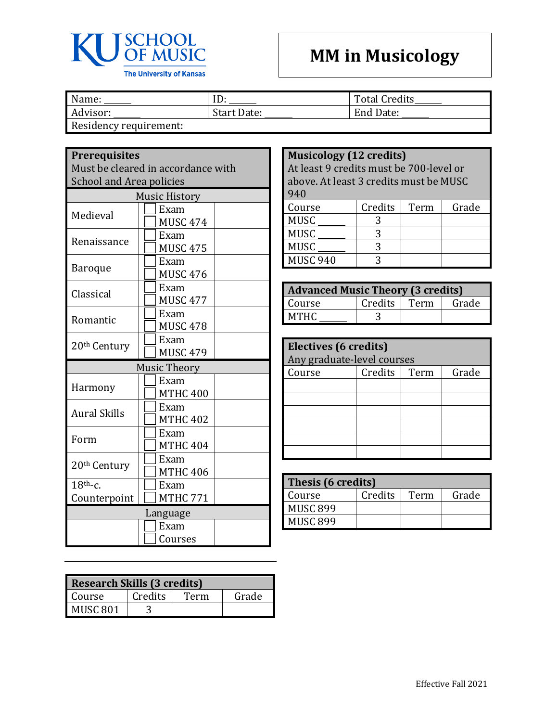

## **MM in Musicology**

| Name:                  | ID          | <b>Total Credits</b> |
|------------------------|-------------|----------------------|
| Advisor:               | Start Date: | End Date:            |
| Residency requirement: |             |                      |

| <b>Prerequisites</b><br>Must be cleared in accordance with<br><b>School and Area policies</b> |                         |  |
|-----------------------------------------------------------------------------------------------|-------------------------|--|
|                                                                                               | <b>Music History</b>    |  |
| Medieval                                                                                      | Exam<br><b>MUSC 474</b> |  |
| Renaissance                                                                                   | Exam<br><b>MUSC 475</b> |  |
| Baroque                                                                                       | Exam<br><b>MUSC 476</b> |  |
| Classical                                                                                     | Exam<br><b>MUSC 477</b> |  |
| Romantic                                                                                      | Exam<br><b>MUSC 478</b> |  |
| 20 <sup>th</sup> Century                                                                      | Exam<br><b>MUSC 479</b> |  |
|                                                                                               | <b>Music Theory</b>     |  |
| Harmony                                                                                       | Exam<br><b>MTHC 400</b> |  |
| <b>Aural Skills</b>                                                                           | Exam<br><b>MTHC 402</b> |  |
| Form                                                                                          | Exam<br><b>MTHC 404</b> |  |
| 20 <sup>th</sup> Century                                                                      | Exam<br><b>MTHC 406</b> |  |
| $18th$ -c.<br>Counterpoint                                                                    | Exam<br><b>MTHC 771</b> |  |
|                                                                                               | Language                |  |
|                                                                                               | Exam<br>Courses         |  |

| <b>Research Skills (3 credits)</b> |         |      |       |
|------------------------------------|---------|------|-------|
| Course                             | Credits | Term | Grade |
| <b>MUSC 801</b>                    |         |      |       |

## **Musicology (12 credits)**

At least 9 credits must be 700-level or above. At least 3 credits must be MUSC 940

| Course          | Credits | Term | Grade |
|-----------------|---------|------|-------|
| <b>MUSC</b>     |         |      |       |
| MUSC            |         |      |       |
| <b>MUSC</b>     |         |      |       |
| <b>MUSC 940</b> |         |      |       |

| <b>Advanced Music Theory (3 credits)</b> |         |      |       |
|------------------------------------------|---------|------|-------|
| Course                                   | Credits | Term | Grade |
| <b>MTHC</b>                              |         |      |       |

| Electives (6 credits)      |         |      |       |
|----------------------------|---------|------|-------|
| Any graduate-level courses |         |      |       |
| Course                     | Credits | Term | Grade |
|                            |         |      |       |
|                            |         |      |       |
|                            |         |      |       |
|                            |         |      |       |
|                            |         |      |       |
|                            |         |      |       |

| Thesis (6 credits) |         |      |       |
|--------------------|---------|------|-------|
| Course             | Credits | Term | Grade |
| MUSC 899           |         |      |       |
| MUSC 899           |         |      |       |